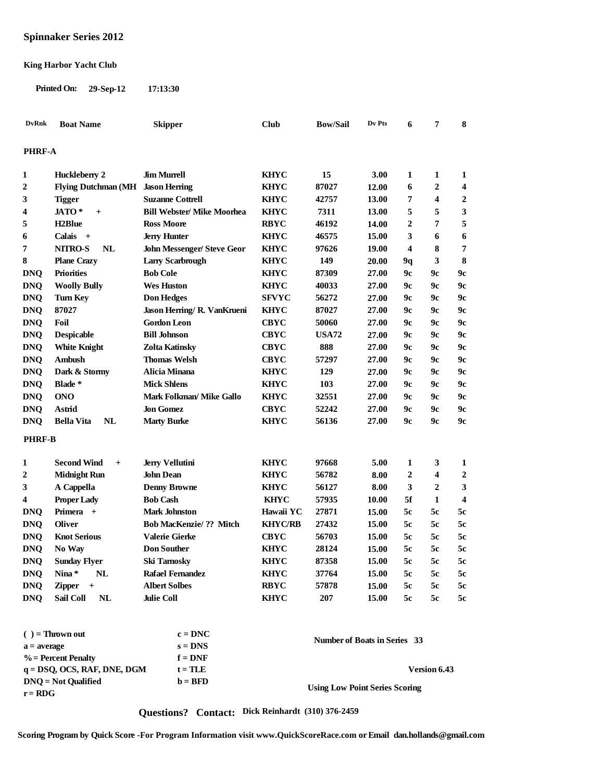# **Spinnaker Series 2012**

#### **King Harbor Yacht Club**

**Printed On: 29-Sep-12 17:13:30**

| <b>DvRnk</b>     | <b>Boat Name</b>                     | <b>Skipper</b>                          | <b>Club</b>                | <b>Bow/Sail</b>                       | Dv Pts       | 6                | 7                       | 8                |
|------------------|--------------------------------------|-----------------------------------------|----------------------------|---------------------------------------|--------------|------------------|-------------------------|------------------|
| <b>PHRF-A</b>    |                                      |                                         |                            |                                       |              |                  |                         |                  |
|                  |                                      |                                         |                            |                                       |              |                  |                         |                  |
| $\mathbf{1}$     | Huckleberry 2                        | <b>Jim Murrell</b>                      | <b>KHYC</b>                | 15                                    | 3.00         | 1                | 1                       | 1                |
| $\overline{2}$   | Flying Dutchman (MH Jason Herring    |                                         | <b>KHYC</b>                | 87027                                 | 12.00        | 6                | 2                       | 4                |
| 3                | <b>Tigger</b>                        | <b>Suzanne Cottrell</b>                 | <b>KHYC</b>                | 42757                                 | 13.00        | 7                | 4                       | 2                |
| 4                | JATO*<br>$+$                         | <b>Bill Webster/ Mike Moorhea</b>       | <b>KHYC</b>                | 7311                                  | 13.00        | 5                | 5                       | 3                |
| 5                | H <sub>2</sub> Blue                  | <b>Ross Moore</b>                       | <b>RBYC</b>                | 46192                                 | 14.00        | $\mathbf{2}$     | 7                       | 5                |
| 6                | Calais +                             | <b>Jerry Hunter</b>                     | <b>KHYC</b>                | 46575                                 | 15.00        | 3                | 6                       | 6                |
| 7                | <b>NITRO-S</b><br><b>NL</b>          | <b>John Messenger/ Steve Geor</b>       | <b>KHYC</b>                | 97626                                 | 19.00        | 4                | 8                       | 7                |
| 8                | <b>Plane Crazy</b>                   | <b>Larry Scarbrough</b>                 | <b>KHYC</b>                | 149                                   | <b>20.00</b> | 9q               | 3                       | 8                |
| <b>DNQ</b>       | <b>Priorities</b>                    | <b>Bob Cole</b>                         | <b>KHYC</b>                | 87309                                 | 27.00        | 9с               | 9с                      | 9c               |
| <b>DNQ</b>       | <b>Woolly Bully</b>                  | <b>Wes Huston</b>                       | <b>KHYC</b>                | 40033                                 | 27.00        | 9с               | 9c                      | 9c               |
| <b>DNQ</b>       | <b>Turn Key</b>                      | <b>Don Hedges</b>                       | <b>SFVYC</b>               | 56272                                 | 27.00        | 9с               | 9c                      | 9c               |
| <b>DNQ</b>       | 87027                                | Jason Herring/ R. VanKrueni             | <b>KHYC</b>                | 87027                                 | 27.00        | 9с               | 9с                      | 9c               |
| <b>DNQ</b>       | Foil                                 | <b>Gordon Leon</b>                      | <b>CBYC</b>                | 50060                                 | 27.00        | 9с               | 9с                      | 9c               |
| <b>DNQ</b>       | <b>Despicable</b>                    | <b>Bill Johnson</b>                     | <b>CBYC</b>                | <b>USA72</b>                          | 27.00        | 9с               | 9с                      | 9с               |
| <b>DNQ</b>       | <b>White Knight</b>                  | Zolta Katinsky                          | <b>CBYC</b>                | 888                                   | 27.00        | 9с               | 9с                      | 9c               |
| <b>DNQ</b>       | <b>Ambush</b>                        | <b>Thomas Welsh</b>                     | <b>CBYC</b>                | 57297                                 | 27.00        | 9с               | 9с                      | 9c               |
| <b>DNQ</b>       | Dark & Stormy                        | Alicia Minana                           | <b>KHYC</b>                | 129                                   | 27.00        | 9с               | 9с                      | 9с               |
| <b>DNO</b>       | Blade *                              | <b>Mick Shlens</b>                      | <b>KHYC</b>                | 103                                   | 27.00        | 9с               | 9с                      | 9c               |
| <b>DNQ</b>       | <b>ONO</b>                           | Mark Folkman/ Mike Gallo                | <b>KHYC</b>                | 32551                                 | 27.00        | 9с               | 9с                      | 9c               |
| <b>DNQ</b>       | Astrid                               | <b>Jon Gomez</b>                        | <b>CBYC</b>                | 52242                                 | 27.00        | 9с               | 9с                      | 9c               |
| <b>DNQ</b>       | NL<br>Bella Vita                     | <b>Marty Burke</b>                      | <b>KHYC</b>                | 56136                                 | 27.00        | 9с               | 9c                      | 9c               |
| <b>PHRF-B</b>    |                                      |                                         |                            |                                       |              |                  |                         |                  |
| $\mathbf{1}$     | <b>Second Wind</b><br>$+$            | <b>Jerry Vellutini</b>                  | <b>KHYC</b>                | 97668                                 | 5.00         | 1                | 3                       | 1                |
| $\boldsymbol{2}$ | <b>Midnight Run</b>                  | <b>John Dean</b>                        | <b>KHYC</b>                | 56782                                 | 8.00         | $\boldsymbol{2}$ | $\overline{\mathbf{4}}$ | $\boldsymbol{2}$ |
|                  |                                      |                                         |                            | 56127                                 |              | 3                | 2                       | 3                |
| 3                | A Cappella                           | <b>Denny Browne</b>                     | <b>KHYC</b><br><b>KHYC</b> |                                       | 8.00         | 5f               | 1                       | 4                |
| 4                | <b>Proper Lady</b><br>Primera +      | <b>Bob Cash</b><br><b>Mark Johnston</b> | Hawaii YC                  | 57935<br>27871                        | 10.00        | 5c               | 5c                      | 5c               |
| <b>DNQ</b>       |                                      |                                         |                            |                                       | 15.00        |                  |                         |                  |
| <b>DNQ</b>       | <b>Oliver</b><br><b>Knot Serious</b> | <b>Bob MacKenzie/ ?? Mitch</b>          | <b>KHYC/RB</b>             | 27432                                 | 15.00        | 5c               | 5c                      | 5c               |
| <b>DNQ</b>       |                                      | <b>Valerie Gierke</b>                   | <b>CBYC</b>                | 56703                                 | 15.00        | 5c               | 5c                      | 5c               |
| <b>DNQ</b>       | No Way                               | <b>Don Souther</b>                      | <b>KHYC</b>                | 28124                                 | 15.00        | 5c               | 5c                      | 5c               |
| <b>DNQ</b>       | <b>Sunday Flyer</b>                  | <b>Ski Tarnosky</b>                     | <b>KHYC</b>                | 87358                                 | 15.00        | 5c               | 5c                      | 5c               |
| <b>DNQ</b>       | Nina*<br><b>NL</b>                   | <b>Rafael Fernandez</b>                 | <b>KHYC</b>                | 37764                                 | 15.00        | 5c               | 5c                      | 5c               |
| <b>DNQ</b>       | <b>Zipper</b><br>$+$                 | <b>Albert Solbes</b>                    | <b>RBYC</b>                | 57878                                 | 15.00        | 5c               | 5c                      | 5c               |
| <b>DNQ</b>       | Sail Coll<br><b>NL</b>               | <b>Julie Coll</b>                       | <b>KHYC</b>                | 207                                   | 15.00        | 5c               | 5c                      | 5c               |
|                  |                                      |                                         |                            |                                       |              |                  |                         |                  |
|                  | $( ) =$ Thrown out                   | $c = DNC$                               |                            | <b>Number of Boats in Series 33</b>   |              |                  |                         |                  |
| $a = average$    |                                      | $s = DNS$                               |                            |                                       |              |                  |                         |                  |
|                  | $\%$ = Percent Penalty               | $f = DNF$                               |                            |                                       |              |                  |                         |                  |
|                  | $q = DSQ$ , OCS, RAF, DNE, DGM       | $t = TLE$                               |                            |                                       |              |                  | Version 6.43            |                  |
|                  | $D N Q = Not$ Qualified              | $\mathbf{b} = \mathbf{BFD}$             |                            | <b>Using Low Point Series Scoring</b> |              |                  |                         |                  |
| $r = RDG$        |                                      |                                         |                            |                                       |              |                  |                         |                  |

**Questions? Contact: Dick Reinhardt (310) 376-2459**

**Scoring Program by Quick Score -For Program Information visit www.QuickScoreRace.com or Email dan.hollands@gmail.com**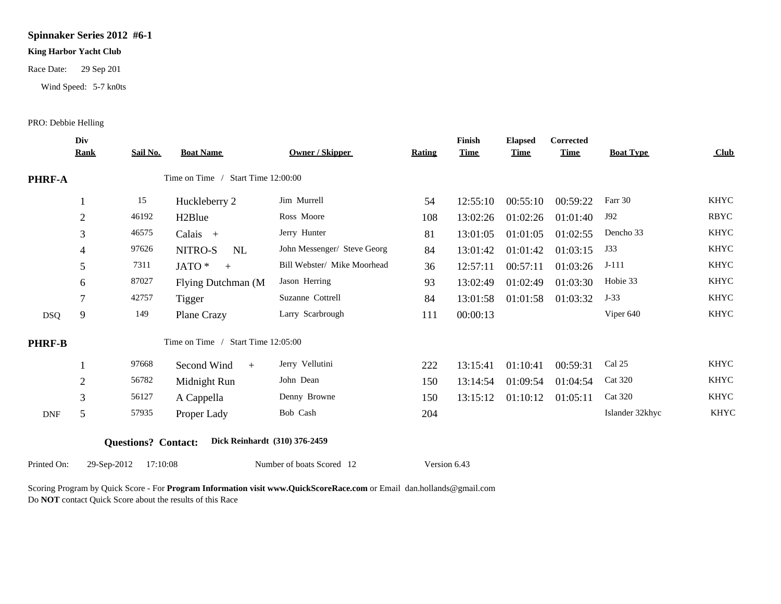### **Spinnaker Series 2012 #6-1**

#### **King Harbor Yacht Club**

Race Date: 29 Sep 201

Wind Speed: 5-7 kn0ts

### PRO: Debbie Helling

|               | Div<br><b>Rank</b> | <b>Sail No.</b> | <b>Boat Name</b>                   | <b>Owner / Skipper</b>      | <b>Rating</b> | Finish<br><b>Time</b> | <b>Elapsed</b><br><b>Time</b> | <b>Corrected</b><br><b>Time</b> | <b>Boat Type</b> | Club        |
|---------------|--------------------|-----------------|------------------------------------|-----------------------------|---------------|-----------------------|-------------------------------|---------------------------------|------------------|-------------|
| PHRF-A        |                    |                 | Time on Time / Start Time 12:00:00 |                             |               |                       |                               |                                 |                  |             |
|               |                    | 15              | Huckleberry 2                      | Jim Murrell                 | 54            | 12:55:10              | 00:55:10                      | 00:59:22                        | Farr 30          | <b>KHYC</b> |
|               | $\overline{2}$     | 46192           | H <sub>2</sub> Blue                | Ross Moore                  | 108           | 13:02:26              | 01:02:26                      | 01:01:40                        | J92              | <b>RBYC</b> |
|               | 3                  | 46575           | Calais +                           | Jerry Hunter                | 81            | 13:01:05              | 01:01:05                      | 01:02:55                        | Dencho 33        | <b>KHYC</b> |
|               | 4                  | 97626           | NITRO-S<br>NL                      | John Messenger/ Steve Georg | 84            | 13:01:42              | 01:01:42                      | 01:03:15                        | J33              | <b>KHYC</b> |
|               | 5                  | 7311            | JATO *<br>$+$                      | Bill Webster/ Mike Moorhead | 36            | 12:57:11              | 00:57:11                      | 01:03:26                        | $J-111$          | <b>KHYC</b> |
|               | 6                  | 87027           | Flying Dutchman (M                 | Jason Herring               | 93            | 13:02:49              | 01:02:49                      | 01:03:30                        | Hobie 33         | <b>KHYC</b> |
|               | 7                  | 42757           | Tigger                             | Suzanne Cottrell            | 84            | 13:01:58              | 01:01:58                      | 01:03:32                        | $J-33$           | KHYC        |
| <b>DSQ</b>    | 9                  | 149             | Plane Crazy                        | Larry Scarbrough            | 111           | 00:00:13              |                               |                                 | Viper 640        | <b>KHYC</b> |
| <b>PHRF-B</b> |                    |                 | Time on Time / Start Time 12:05:00 |                             |               |                       |                               |                                 |                  |             |
|               |                    | 97668           | Second Wind<br>$+$                 | Jerry Vellutini             | 222           | 13:15:41              | 01:10:41                      | 00:59:31                        | Cal 25           | <b>KHYC</b> |
|               | 2                  | 56782           | Midnight Run                       | John Dean                   | 150           | 13:14:54              | 01:09:54                      | 01:04:54                        | <b>Cat 320</b>   | <b>KHYC</b> |
|               | 3                  | 56127           | A Cappella                         | Denny Browne                | 150           | 13:15:12              | 01:10:12                      | 01:05:11                        | <b>Cat 320</b>   | <b>KHYC</b> |
| <b>DNF</b>    | 5                  | 57935           | Proper Lady                        | Bob Cash                    | 204           |                       |                               |                                 | Islander 32khyc  | <b>KHYC</b> |

Printed On: 29-Sep-2012 17:10:08 Number of boats Scored 12 Version 6.43

Scoring Program by Quick Score - For **Program Information visit www.QuickScoreRace.com** or Email dan.hollands@gmail.com Do **NOT** contact Quick Score about the results of this Race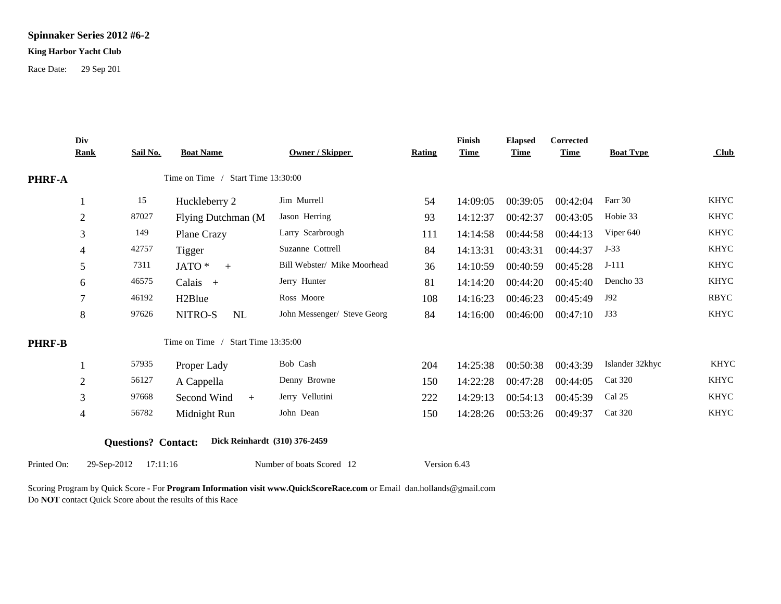# **Spinnaker Series 2012 #6-2**

#### **King Harbor Yacht Club**

Race Date: 29 Sep 201

|               | Div<br><b>Rank</b>       | Sail No.                   | <b>Boat Name</b>                             | <b>Owner / Skipper</b>      | <b>Rating</b> | Finish<br><b>Time</b> | <b>Elapsed</b><br><b>Time</b> | Corrected<br><b>Time</b> | <b>Boat Type</b> | Club        |
|---------------|--------------------------|----------------------------|----------------------------------------------|-----------------------------|---------------|-----------------------|-------------------------------|--------------------------|------------------|-------------|
| <b>PHRF-A</b> |                          |                            | Time on Time / Start Time 13:30:00           |                             |               |                       |                               |                          |                  |             |
|               |                          | 15                         | Huckleberry 2                                | Jim Murrell                 | 54            | 14:09:05              | 00:39:05                      | 00:42:04                 | Farr 30          | <b>KHYC</b> |
|               | $\overline{2}$           | 87027                      | Flying Dutchman (M                           | Jason Herring               | 93            | 14:12:37              | 00:42:37                      | 00:43:05                 | Hobie 33         | <b>KHYC</b> |
|               | 3                        | 149                        | Plane Crazy                                  | Larry Scarbrough            | 111           | 14:14:58              | 00:44:58                      | 00:44:13                 | Viper 640        | <b>KHYC</b> |
|               | 4                        | 42757                      | <b>Tigger</b>                                | Suzanne Cottrell            | 84            | 14:13:31              | 00:43:31                      | 00:44:37                 | $J-33$           | <b>KHYC</b> |
|               | 5                        | 7311                       | JATO *<br>$+$                                | Bill Webster/ Mike Moorhead | 36            | 14:10:59              | 00:40:59                      | 00:45:28                 | $J-111$          | <b>KHYC</b> |
|               | 6                        | 46575                      | Calais +                                     | Jerry Hunter                | 81            | 14:14:20              | 00:44:20                      | 00:45:40                 | Dencho 33        | <b>KHYC</b> |
|               | 7                        | 46192                      | H <sub>2</sub> Blue                          | Ross Moore                  | 108           | 14:16:23              | 00:46:23                      | 00:45:49                 | J92              | <b>RBYC</b> |
|               | 8                        | 97626                      | NITRO-S<br><b>NL</b>                         | John Messenger/ Steve Georg | 84            | 14:16:00              | 00:46:00                      | 00:47:10                 | J33              | <b>KHYC</b> |
| <b>PHRF-B</b> |                          |                            | Time on Time /<br><b>Start Time 13:35:00</b> |                             |               |                       |                               |                          |                  |             |
|               |                          | 57935                      | Proper Lady                                  | Bob Cash                    | 204           | 14:25:38              | 00:50:38                      | 00:43:39                 | Islander 32khyc  | <b>KHYC</b> |
|               | $\overline{2}$           | 56127                      | A Cappella                                   | Denny Browne                | 150           | 14:22:28              | 00:47:28                      | 00:44:05                 | <b>Cat 320</b>   | <b>KHYC</b> |
|               | 3                        | 97668                      | Second Wind<br>$+$                           | Jerry Vellutini             | 222           | 14:29:13              | 00:54:13                      | 00:45:39                 | Cal 25           | <b>KHYC</b> |
|               | $\overline{\mathcal{A}}$ | 56782                      | Midnight Run                                 | John Dean                   | 150           | 14:28:26              | 00:53:26                      | 00:49:37                 | <b>Cat 320</b>   | <b>KHYC</b> |
|               |                          | <b>Questions? Contact:</b> | Dick Reinhardt (310) 376-2459                |                             |               |                       |                               |                          |                  |             |
| Printed On:   | 29-Sep-2012              | 17:11:16                   |                                              | Number of boats Scored 12   | Version 6.43  |                       |                               |                          |                  |             |

Scoring Program by Quick Score - For **Program Information visit www.QuickScoreRace.com** or Email dan.hollands@gmail.com Do **NOT** contact Quick Score about the results of this Race